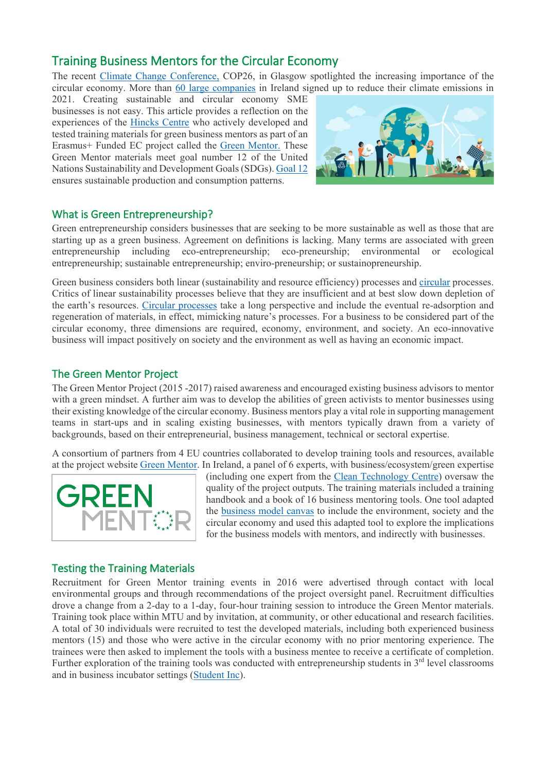# Training Business Mentors for the Circular Economy

The recent [Climate Change Conference,](https://unfccc.int/conference/glasgow-climate-change-conference-october-november-2021) COP26, in Glasgow spotlighted the increasing importance of the circular economy. More than [60 large companies](https://www.irishtimes.com/business/economy/sixty-irish-companies-sign-up-to-carbon-reduction-targets-1.4518953) in Ireland signed up to reduce their climate emissions in

2021. Creating sustainable and circular economy SME businesses is not easy. This article provides a reflection on the experiences of the [Hincks Centre](https://hincks.cit.ie/) who actively developed and tested training materials for green business mentors as part of an Erasmus+ Funded EC project called the [Green Mentor.](https://hincks.cit.ie/green-mentor) These Green Mentor materials meet goal number 12 of the United Nations Sustainability and Development Goals (SDGs). [Goal 12](https://sdgs.un.org/goals/goal12) ensures sustainable production and consumption patterns.



## What is Green Entrepreneurship?

Green entrepreneurship considers businesses that are seeking to be more sustainable as well as those that are starting up as a green business. Agreement on definitions is lacking. Many terms are associated with green entrepreneurship including eco-entrepreneurship; eco-preneurship; environmental or ecological entrepreneurship; sustainable entrepreneurship; enviro-preneurship; or sustainopreneurship.

Green business considers both linear (sustainability and resource efficiency) processes and [circular](https://www.mywaste.ie/the-circular-economy/) processes. Critics of linear sustainability processes believe that they are insufficient and at best slow down depletion of the earth's resources. [Circular processes](https://www.epa.ie/environment-and-you/circular-economy/) take a long perspective and include the eventual re-adsorption and regeneration of materials, in effect, mimicking nature's processes. For a business to be considered part of the circular economy, three dimensions are required, economy, environment, and society. An eco-innovative business will impact positively on society and the environment as well as having an economic impact.

## The Green Mentor Project

The Green Mentor Project (2015 -2017) raised awareness and encouraged existing business advisors to mentor with a green mindset. A further aim was to develop the abilities of green activists to mentor businesses using their existing knowledge of the circular economy. Business mentors play a vital role in supporting management teams in start-ups and in scaling existing businesses, with mentors typically drawn from a variety of backgrounds, based on their entrepreneurial, business management, technical or sectoral expertise.

A consortium of partners from 4 EU countries collaborated to develop training tools and resources, available at the project website [Green Mentor.](http://greenmentor-project.eu/) In Ireland, a panel of 6 experts, with business/ecosystem/green expertise



(including one expert from the [Clean Technology Centre\)](https://ctc-cork.ie/) oversaw the quality of the project outputs. The training materials included a training handbook and a book of 16 business mentoring tools. One tool adapted the [business model canvas](https://issuu.com/greenmentorproject/docs/greenmentor_io4_toolkit_final_en) to include the environment, society and the circular economy and used this adapted tool to explore the implications for the business models with mentors, and indirectly with businesses.

#### Testing the Training Materials

Recruitment for Green Mentor training events in 2016 were advertised through contact with local environmental groups and through recommendations of the project oversight panel. Recruitment difficulties drove a change from a 2-day to a 1-day, four-hour training session to introduce the Green Mentor materials. Training took place within MTU and by invitation, at community, or other educational and research facilities. A total of 30 individuals were recruited to test the developed materials, including both experienced business mentors (15) and those who were active in the circular economy with no prior mentoring experience. The trainees were then asked to implement the tools with a business mentee to receive a certificate of completion. Further exploration of the training tools was conducted with entrepreneurship students in  $3<sup>rd</sup>$  level classrooms and in business incubator settings [\(Student Inc\)](https://www.studentinc.ie/).